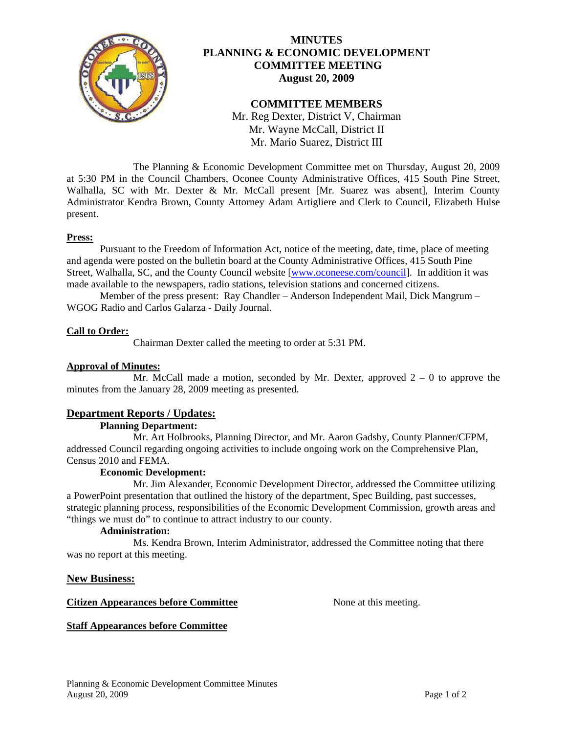

# **MINUTES PLANNING & ECONOMIC DEVELOPMENT COMMITTEE MEETING August 20, 2009**

# **COMMITTEE MEMBERS**

Mr. Reg Dexter, District V, Chairman Mr. Wayne McCall, District II Mr. Mario Suarez, District III

 The Planning & Economic Development Committee met on Thursday, August 20, 2009 at 5:30 PM in the Council Chambers, Oconee County Administrative Offices, 415 South Pine Street, Walhalla, SC with Mr. Dexter & Mr. McCall present [Mr. Suarez was absent], Interim County Administrator Kendra Brown, County Attorney Adam Artigliere and Clerk to Council, Elizabeth Hulse present.

# **Press:**

 Pursuant to the Freedom of Information Act, notice of the meeting, date, time, place of meeting and agenda were posted on the bulletin board at the County Administrative Offices, 415 South Pine Street, Walhalla, SC, and the County Council website [[www.oconeese.com/council\]](http://www.oconeese.com/council). In addition it was made available to the newspapers, radio stations, television stations and concerned citizens.

Member of the press present: Ray Chandler – Anderson Independent Mail, Dick Mangrum – WGOG Radio and Carlos Galarza - Daily Journal.

# **Call to Order:**

Chairman Dexter called the meeting to order at 5:31 PM.

# **Approval of Minutes:**

Mr. McCall made a motion, seconded by Mr. Dexter, approved  $2 - 0$  to approve the minutes from the January 28, 2009 meeting as presented.

# **Department Reports / Updates:**

## **Planning Department:**

 Mr. Art Holbrooks, Planning Director, and Mr. Aaron Gadsby, County Planner/CFPM, addressed Council regarding ongoing activities to include ongoing work on the Comprehensive Plan, Census 2010 and FEMA.

# **Economic Development:**

 Mr. Jim Alexander, Economic Development Director, addressed the Committee utilizing a PowerPoint presentation that outlined the history of the department, Spec Building, past successes, strategic planning process, responsibilities of the Economic Development Commission, growth areas and "things we must do" to continue to attract industry to our county.

## **Administration:**

 Ms. Kendra Brown, Interim Administrator, addressed the Committee noting that there was no report at this meeting.

## **New Business:**

## **Citizen Appearances before Committee** None at this meeting.

## **Staff Appearances before Committee**